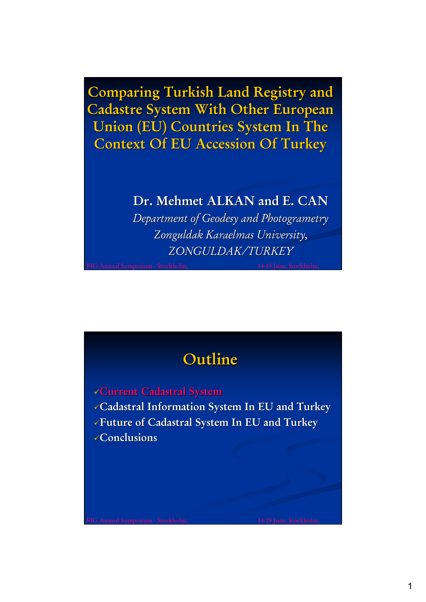**Comparing Turkish Land Registry and Cadastre System With Other European Union (EU) Countries System In The Context Of EU Accession Of Turkey** 

# **Dr. Mehmet ALKAN and E. CAN**

*Department of Geodesy and Photogrametry Zonguldak Zonguldak Karaelmas Karaelmas University, University, ZONGULDAK/TURKEY /TURKEY*

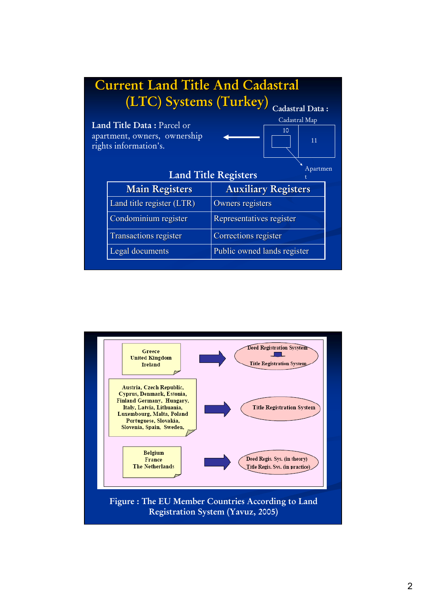| <b>Current Land Title And Cadastral</b>                                             |                             |
|-------------------------------------------------------------------------------------|-----------------------------|
| (LTC) Systems (Turkey)<br>Cadastral Data:                                           |                             |
|                                                                                     | Cadastral Map               |
| Land Title Data: Parcel or<br>apartment, owners, ownership<br>rights information's. | 10<br>11                    |
| Apartmen<br><b>Land Title Registers</b>                                             |                             |
| <b>Main Registers</b>                                                               | <b>Auxiliary Registers</b>  |
| Land title register (LTR)                                                           | Owners registers            |
| Condominium register                                                                | Representatives register    |
| <b>Transactions register</b>                                                        | Corrections register        |
| <b>Legal documents</b>                                                              | Public owned lands register |
|                                                                                     |                             |

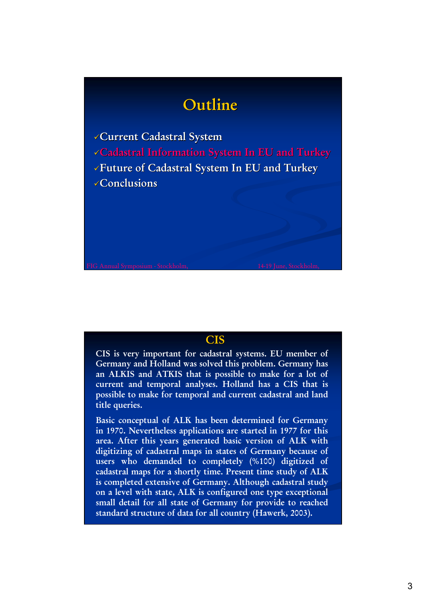# **Outline Outline**

**Current Cadastral System Cadastral Information Sy Cadastral Information System In EU and Turkey stem In EU and Turkey Future of Cadastral System In EU and Turkey Future of Cadastral System In EU and Turkey Conclusions Conclusions**

### **CIS**

**CIS is very important for cadastral systems. EU member of Germany and Holland was solved this problem. Germany has an ALKIS and ATKIS that is possible to make for a lot of current and temporal analyses. Holland has a CIS that is possible to make for temporal and current cadastral and land title queries.**

**Basic conceptual of ALK has been determined for Germany in 1970. Nevertheless applications are started in 1977 for this area. After this years generated basic version of ALK with digitizing of cadastral maps in states of Germany because of users who demanded to completely (%100) digitized of cadastral maps for a shortly time. Present time study of ALK is completed extensive of Germany. Although cadastral study on a level with state, ALK is configured one type exceptional small detail for all state of Germany for provide to reached standard structure of data for all country (Hawerk, 2003).**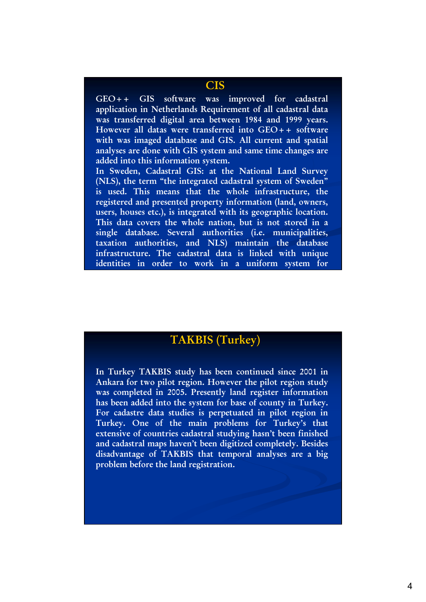#### **CIS**

**GEO++ GIS software was improved for cadastral application in Netherlands Requirement of all cadastral data was transferred digital area between 1984 and 1999 years. However all datas were transferred into GEO++ software with was imaged database and GIS. All current and spatial analyses are done with GIS system and same time changes are added into this information system.** 

**In Sweden, Cadastral GIS: at the National Land Survey (NLS), the term "the integrated cadastral system of Sweden" is used. This means that the whole infrastructure, the registered and presented property information (land, owners, users, houses etc.), is integrated with its geographic location. This data covers the whole nation, but is not stored in a single database. Several authorities (i.e. municipalities, taxation authorities, and NLS) maintain the database infrastructure. The cadastral data is linked with unique identities in order to work in a uniform system for** 

**d** (**) d** (**) d** (**) d** (**) d** (**) d** (**) d** (**) d** (**) d** (**) d** (**)** 

## **TAKBIS ( TAKBIS (Turkey)**

**In Turkey TAKBIS study has been continued since 2001 in Ankara for two pilot region. However the pilot region study was completed in 2005. Presently land register information has been added into the system for base of county in Turkey. For cadastre data studies is perpetuated in pilot region in Turkey. One of the main problems for Turkey's that extensive of countries cadastral studying hasn't been finished and cadastral maps haven't been digitized completely. Besides disadvantage of TAKBIS that temporal analyses are a big problem before the land registration.**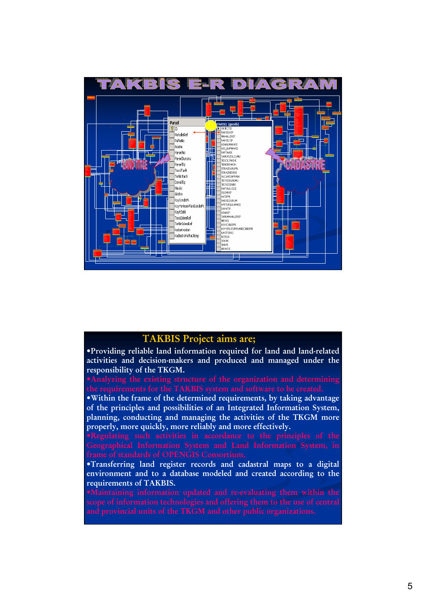

#### **TAKBIS Project aims are;**

•**Providing reliable land information required for land and land-related activities and decision-makers and produced and managed under the responsibility of the TKGM.**

•**Within the frame of the determined requirements, by taking advantage of the principles and possibilities of an Integrated Information System, planning, conducting and managing the activities of the TKGM more properly, more quickly, more reliably and more effectively.** 

•**Transferring land register records and cadastral maps to a digital environment and to a database modeled and created according to the requirements of TAKBIS.**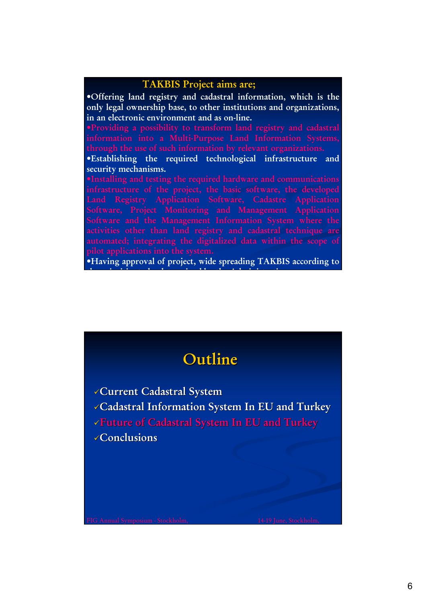#### **TAKBIS Project aims are;**

•**Offering land registry and cadastral information, which is the only legal ownership base, to other institutions and organizations, in an electronic environment and as on-line.** 

•**Establishing the required technological infrastructure and security mechanisms.** 

•**Having approval of project, wide spreading TAKBIS according to** 

**th i iti t b d t i d b th Ad i i t ti**

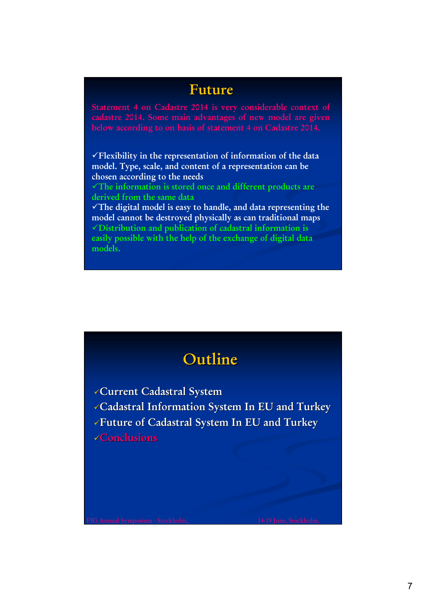## **Future**

**Statement 4 on Cadastre 2014 is very considerable context of** 

9**Flexibility in the representation of information of the data model. Type, scale, and content of a representation can be chosen according to the needs**

9**The information is stored once and different products are derived from the same data**

9**The digital model is easy to handle, and data representing the model cannot be destroyed physically as can traditional maps** 9**Distribution and publication of cadastral information is easily possible with the help of the exchange of digital data models.**